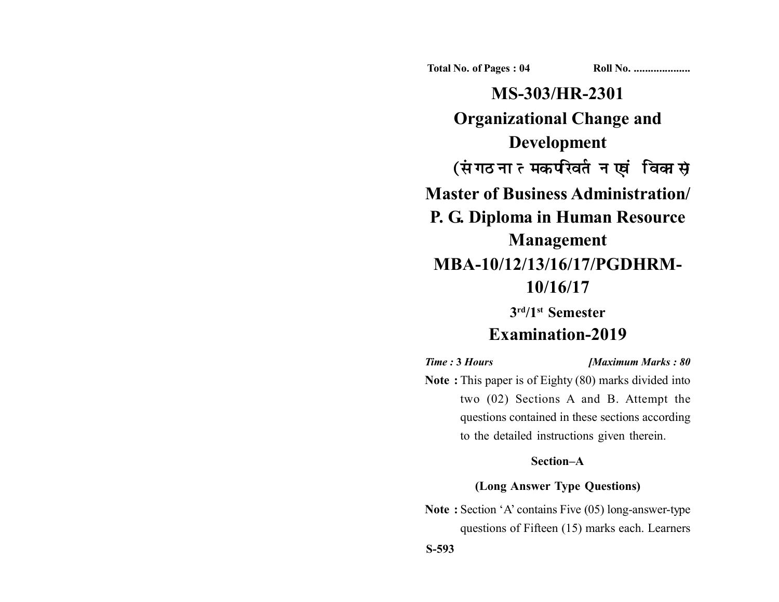**Total No. of Pages : 04 Roll No. ...................** 

**MS-303/HR-2301 Organizational Change and Development** (संगठनात्मक परिवर्तन एवं विकास) **Master of Business Administration/ P. G. Diploma in Human Resource Management MBA-10/12/13/16/17/PGDHRM-10/16/17**

> **3rd/1st Semester Examination-2019**

*Time :* **3** *Hours [Maximum Marks : 80* **Note :** This paper is of Eighty (80) marks divided into two (02) Sections A and B. Attempt the questions contained in these sections according to the detailed instructions given therein.

## **Section–A**

# **(Long Answer Type Questions)**

**Note :** Section 'A' contains Five (05) long-answer-type questions of Fifteen (15) marks each. Learners